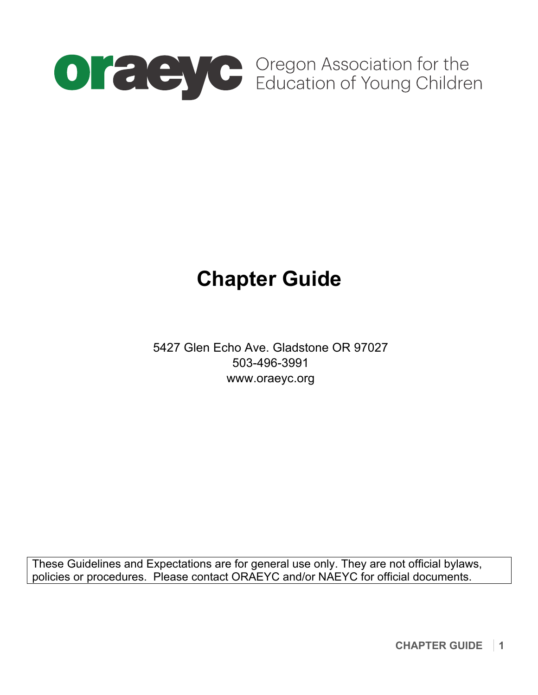

# **Chapter Guide**

5427 Glen Echo Ave. Gladstone OR 97027 503-496-3991 www.oraeyc.org

These Guidelines and Expectations are for general use only. They are not official bylaws, policies or procedures. Please contact ORAEYC and/or NAEYC for official documents.

**CHAPTER GUIDE 1**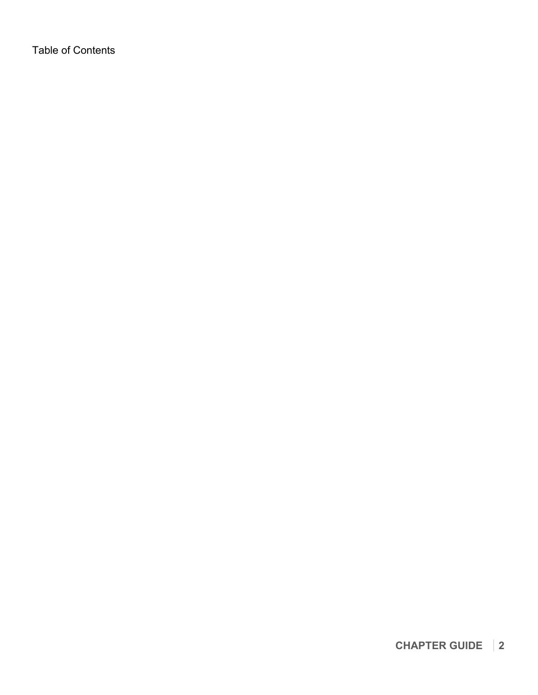Table of Contents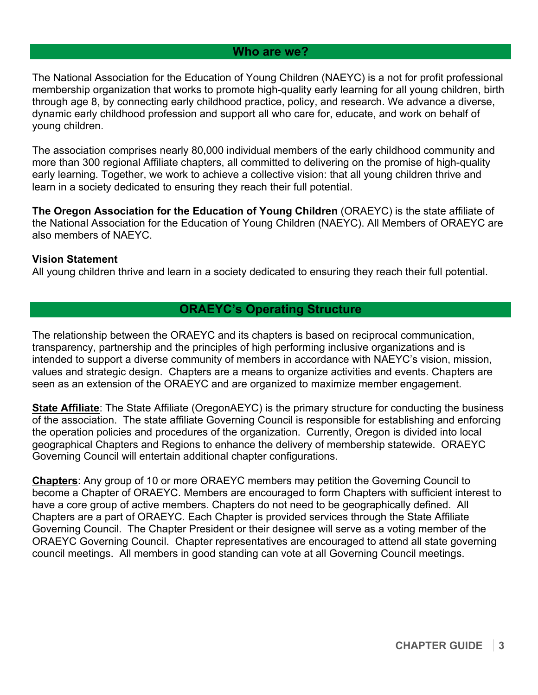# **Who are we?**

The National Association for the Education of Young Children (NAEYC) is a not for profit professional membership organization that works to promote high-quality early learning for all young children, birth through age 8, by connecting early childhood practice, policy, and research. We advance a diverse, dynamic early childhood profession and support all who care for, educate, and work on behalf of young children.

The association comprises nearly 80,000 individual members of the early childhood community and more than 300 regional Affiliate chapters, all committed to delivering on the promise of high-quality early learning. Together, we work to achieve a collective vision: that all young children thrive and learn in a society dedicated to ensuring they reach their full potential.

**The Oregon Association for the Education of Young Children** (ORAEYC) is the state affiliate of the National Association for the Education of Young Children (NAEYC). All Members of ORAEYC are also members of NAEYC.

#### **Vision Statement**

All young children thrive and learn in a society dedicated to ensuring they reach their full potential.

# **ORAEYC's Operating Structure**

The relationship between the ORAEYC and its chapters is based on reciprocal communication, transparency, partnership and the principles of high performing inclusive organizations and is intended to support a diverse community of members in accordance with NAEYC's vision, mission, values and strategic design. Chapters are a means to organize activities and events. Chapters are seen as an extension of the ORAEYC and are organized to maximize member engagement.

**State Affiliate**: The State Affiliate (OregonAEYC) is the primary structure for conducting the business of the association. The state affiliate Governing Council is responsible for establishing and enforcing the operation policies and procedures of the organization. Currently, Oregon is divided into local geographical Chapters and Regions to enhance the delivery of membership statewide. ORAEYC Governing Council will entertain additional chapter configurations.

**Chapters**: Any group of 10 or more ORAEYC members may petition the Governing Council to become a Chapter of ORAEYC. Members are encouraged to form Chapters with sufficient interest to have a core group of active members. Chapters do not need to be geographically defined. All Chapters are a part of ORAEYC. Each Chapter is provided services through the State Affiliate Governing Council. The Chapter President or their designee will serve as a voting member of the ORAEYC Governing Council. Chapter representatives are encouraged to attend all state governing council meetings. All members in good standing can vote at all Governing Council meetings.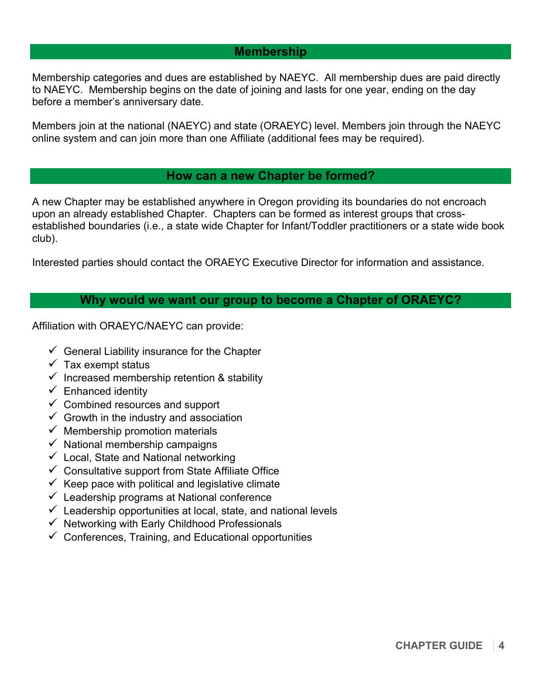# **Membership**

Membership categories and dues are established by NAEYC. All membership dues are paid directly to NAEYC. Membership begins on the date of joining and lasts for one year, ending on the day before a member's anniversary date.

Members join at the national (NAEYC) and state (ORAEYC) level. Members join through the NAEYC online system and can join more than one Affiliate (additional fees may be required).

# **How can a new Chapter be formed?**

A new Chapter may be established anywhere in Oregon providing its boundaries do not encroach upon an already established Chapter. Chapters can be formed as interest groups that crossestablished boundaries (i.e., a state wide Chapter for Infant/Toddler practitioners or a state wide book club).

Interested parties should contact the ORAEYC Executive Director for information and assistance.

## **Why would we want our group to become a Chapter of ORAEYC?**

Affiliation with ORAEYC/NAEYC can provide:

- $\checkmark$  General Liability insurance for the Chapter
- $\checkmark$  Tax exempt status
- $\checkmark$  Increased membership retention & stability
- $\checkmark$  Enhanced identity
- $\checkmark$  Combined resources and support
- $\checkmark$  Growth in the industry and association
- $\checkmark$  Membership promotion materials
- $\checkmark$  National membership campaigns
- $\checkmark$  Local, State and National networking
- $\checkmark$  Consultative support from State Affiliate Office
- $\checkmark$  Keep pace with political and legislative climate
- $\checkmark$  Leadership programs at National conference
- $\checkmark$  Leadership opportunities at local, state, and national levels
- $\checkmark$  Networking with Early Childhood Professionals
- $\checkmark$  Conferences, Training, and Educational opportunities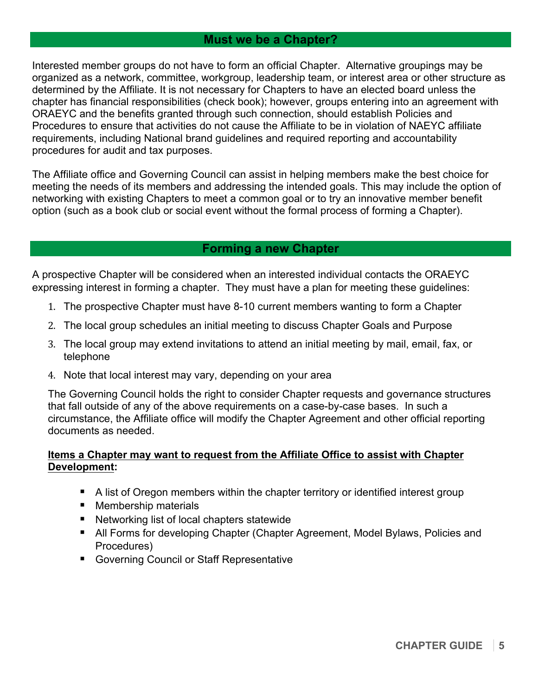# **Must we be a Chapter?**

Interested member groups do not have to form an official Chapter. Alternative groupings may be organized as a network, committee, workgroup, leadership team, or interest area or other structure as determined by the Affiliate. It is not necessary for Chapters to have an elected board unless the chapter has financial responsibilities (check book); however, groups entering into an agreement with ORAEYC and the benefits granted through such connection, should establish Policies and Procedures to ensure that activities do not cause the Affiliate to be in violation of NAEYC affiliate requirements, including National brand guidelines and required reporting and accountability procedures for audit and tax purposes.

The Affiliate office and Governing Council can assist in helping members make the best choice for meeting the needs of its members and addressing the intended goals. This may include the option of networking with existing Chapters to meet a common goal or to try an innovative member benefit option (such as a book club or social event without the formal process of forming a Chapter).

# **Forming a new Chapter**

A prospective Chapter will be considered when an interested individual contacts the ORAEYC expressing interest in forming a chapter. They must have a plan for meeting these guidelines:

- 1. The prospective Chapter must have 8-10 current members wanting to form a Chapter
- 2. The local group schedules an initial meeting to discuss Chapter Goals and Purpose
- 3. The local group may extend invitations to attend an initial meeting by mail, email, fax, or telephone
- 4. Note that local interest may vary, depending on your area

The Governing Council holds the right to consider Chapter requests and governance structures that fall outside of any of the above requirements on a case-by-case bases. In such a circumstance, the Affiliate office will modify the Chapter Agreement and other official reporting documents as needed.

## **Items a Chapter may want to request from the Affiliate Office to assist with Chapter Development:**

- A list of Oregon members within the chapter territory or identified interest group
- Membership materials
- Networking list of local chapters statewide
- " All Forms for developing Chapter (Chapter Agreement, Model Bylaws, Policies and Procedures)
- **EXECOVER THE COUNCIL OF STAFF Representative**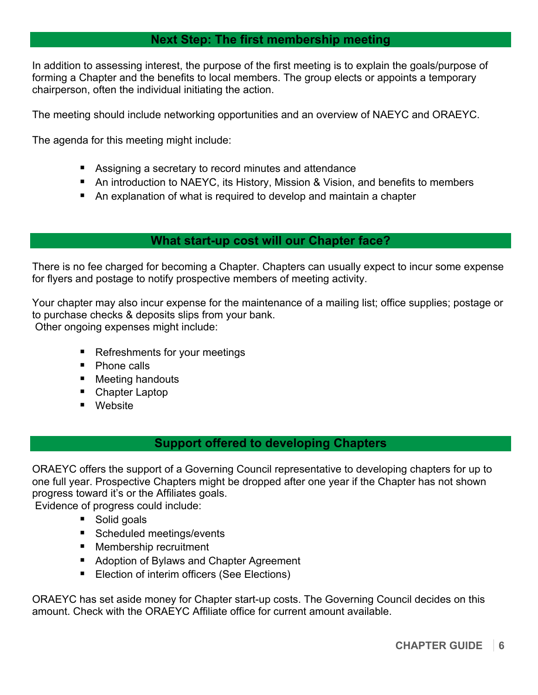# **Next Step: The first membership meeting**

In addition to assessing interest, the purpose of the first meeting is to explain the goals/purpose of forming a Chapter and the benefits to local members. The group elects or appoints a temporary chairperson, often the individual initiating the action.

The meeting should include networking opportunities and an overview of NAEYC and ORAEYC.

The agenda for this meeting might include:

- **EXE** Assigning a secretary to record minutes and attendance
- " An introduction to NAEYC, its History, Mission & Vision, and benefits to members
- An explanation of what is required to develop and maintain a chapter

## **What start-up cost will our Chapter face?**

There is no fee charged for becoming a Chapter. Chapters can usually expect to incur some expense for flyers and postage to notify prospective members of meeting activity.

Your chapter may also incur expense for the maintenance of a mailing list; office supplies; postage or to purchase checks & deposits slips from your bank. Other ongoing expenses might include:

- Refreshments for your meetings
- Phone calls
- Meeting handouts
- Chapter Laptop
- Website

# **Support offered to developing Chapters**

ORAEYC offers the support of a Governing Council representative to developing chapters for up to one full year. Prospective Chapters might be dropped after one year if the Chapter has not shown progress toward it's or the Affiliates goals.

Evidence of progress could include:

- Solid goals
- Scheduled meetings/events
- " Membership recruitment
- Adoption of Bylaws and Chapter Agreement
- Election of interim officers (See Elections)

ORAEYC has set aside money for Chapter start-up costs. The Governing Council decides on this amount. Check with the ORAEYC Affiliate office for current amount available.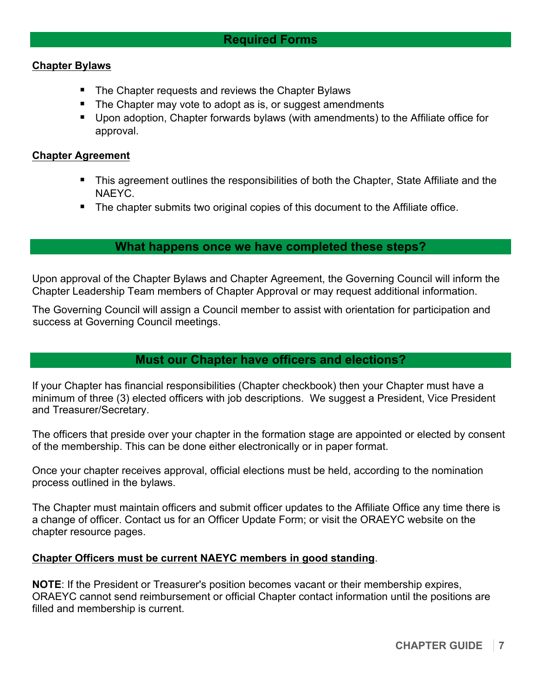## **Chapter Bylaws**

- The Chapter requests and reviews the Chapter Bylaws
- The Chapter may vote to adopt as is, or suggest amendments
- " Upon adoption, Chapter forwards bylaws (with amendments) to the Affiliate office for approval.

#### **Chapter Agreement**

- " This agreement outlines the responsibilities of both the Chapter, State Affiliate and the NAEYC.
- **The chapter submits two original copies of this document to the Affiliate office.**

## **What happens once we have completed these steps?**

Upon approval of the Chapter Bylaws and Chapter Agreement, the Governing Council will inform the Chapter Leadership Team members of Chapter Approval or may request additional information.

The Governing Council will assign a Council member to assist with orientation for participation and success at Governing Council meetings.

## **Must our Chapter have officers and elections?**

If your Chapter has financial responsibilities (Chapter checkbook) then your Chapter must have a minimum of three (3) elected officers with job descriptions. We suggest a President, Vice President and Treasurer/Secretary.

The officers that preside over your chapter in the formation stage are appointed or elected by consent of the membership. This can be done either electronically or in paper format.

Once your chapter receives approval, official elections must be held, according to the nomination process outlined in the bylaws.

The Chapter must maintain officers and submit officer updates to the Affiliate Office any time there is a change of officer. Contact us for an Officer Update Form; or visit the ORAEYC website on the chapter resource pages.

## **Chapter Officers must be current NAEYC members in good standing**.

**NOTE**: If the President or Treasurer's position becomes vacant or their membership expires, ORAEYC cannot send reimbursement or official Chapter contact information until the positions are filled and membership is current.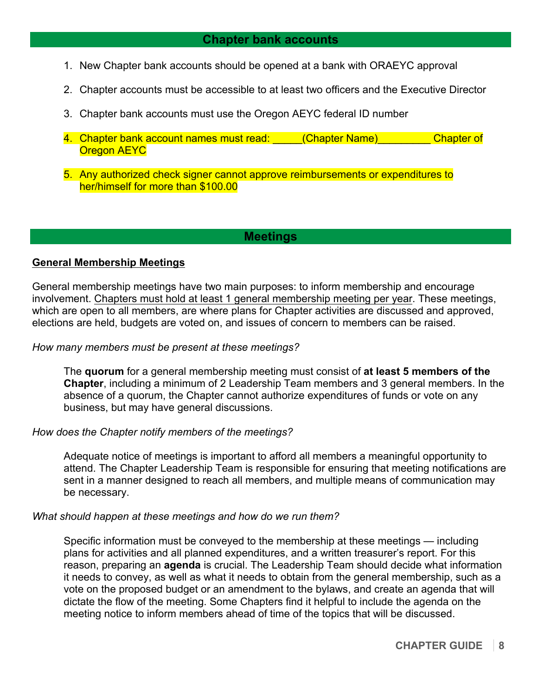# **Chapter bank accounts**

- 1. New Chapter bank accounts should be opened at a bank with ORAEYC approval
- 2. Chapter accounts must be accessible to at least two officers and the Executive Director
- 3. Chapter bank accounts must use the Oregon AEYC federal ID number
- 4. Chapter bank account names must read: (Chapter Name) Chapter of Oregon AEYC
- 5. Any authorized check signer cannot approve reimbursements or expenditures to her/himself for more than \$100.00

#### **Meetings**

#### **General Membership Meetings**

General membership meetings have two main purposes: to inform membership and encourage involvement. Chapters must hold at least 1 general membership meeting per year. These meetings, which are open to all members, are where plans for Chapter activities are discussed and approved, elections are held, budgets are voted on, and issues of concern to members can be raised.

#### *How many members must be present at these meetings?*

The **quorum** for a general membership meeting must consist of **at least 5 members of the Chapter**, including a minimum of 2 Leadership Team members and 3 general members. In the absence of a quorum, the Chapter cannot authorize expenditures of funds or vote on any business, but may have general discussions.

#### *How does the Chapter notify members of the meetings?*

Adequate notice of meetings is important to afford all members a meaningful opportunity to attend. The Chapter Leadership Team is responsible for ensuring that meeting notifications are sent in a manner designed to reach all members, and multiple means of communication may be necessary.

#### *What should happen at these meetings and how do we run them?*

Specific information must be conveyed to the membership at these meetings — including plans for activities and all planned expenditures, and a written treasurer's report. For this reason, preparing an **agenda** is crucial. The Leadership Team should decide what information it needs to convey, as well as what it needs to obtain from the general membership, such as a vote on the proposed budget or an amendment to the bylaws, and create an agenda that will dictate the flow of the meeting. Some Chapters find it helpful to include the agenda on the meeting notice to inform members ahead of time of the topics that will be discussed.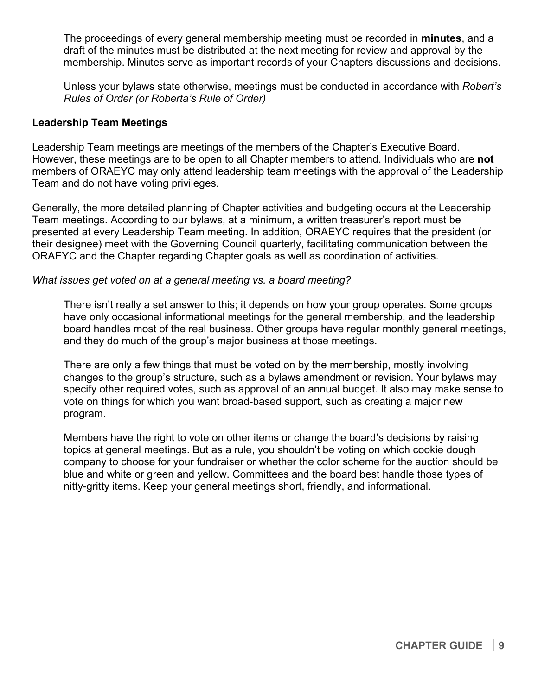The proceedings of every general membership meeting must be recorded in **minutes**, and a draft of the minutes must be distributed at the next meeting for review and approval by the membership. Minutes serve as important records of your Chapters discussions and decisions.

Unless your bylaws state otherwise, meetings must be conducted in accordance with *Robert's Rules of Order (or Roberta's Rule of Order)*

#### **Leadership Team Meetings**

Leadership Team meetings are meetings of the members of the Chapter's Executive Board. However, these meetings are to be open to all Chapter members to attend. Individuals who are **not** members of ORAEYC may only attend leadership team meetings with the approval of the Leadership Team and do not have voting privileges.

Generally, the more detailed planning of Chapter activities and budgeting occurs at the Leadership Team meetings. According to our bylaws, at a minimum, a written treasurer's report must be presented at every Leadership Team meeting. In addition, ORAEYC requires that the president (or their designee) meet with the Governing Council quarterly, facilitating communication between the ORAEYC and the Chapter regarding Chapter goals as well as coordination of activities.

#### *What issues get voted on at a general meeting vs. a board meeting?*

There isn't really a set answer to this; it depends on how your group operates. Some groups have only occasional informational meetings for the general membership, and the leadership board handles most of the real business. Other groups have regular monthly general meetings, and they do much of the group's major business at those meetings.

There are only a few things that must be voted on by the membership, mostly involving changes to the group's structure, such as a bylaws amendment or revision. Your bylaws may specify other required votes, such as approval of an annual budget. It also may make sense to vote on things for which you want broad-based support, such as creating a major new program.

Members have the right to vote on other items or change the board's decisions by raising topics at general meetings. But as a rule, you shouldn't be voting on which cookie dough company to choose for your fundraiser or whether the color scheme for the auction should be blue and white or green and yellow. Committees and the board best handle those types of nitty-gritty items. Keep your general meetings short, friendly, and informational.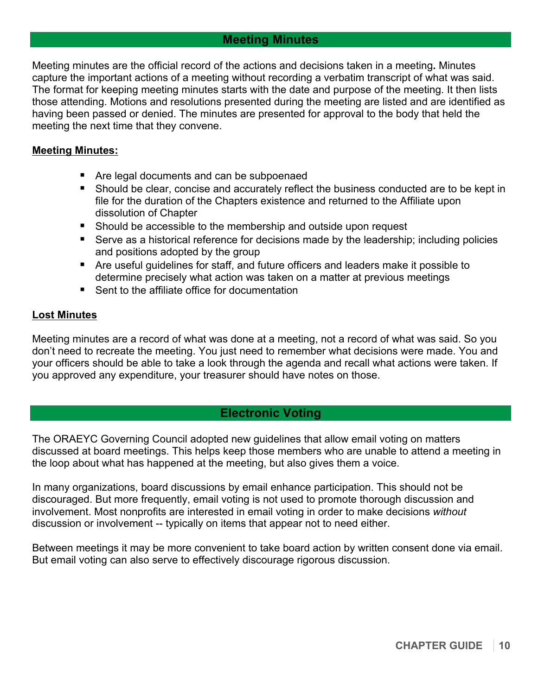# **Meeting Minutes**

Meeting minutes are the official record of the actions and decisions taken in a meeting**.** Minutes capture the important actions of a meeting without recording a verbatim transcript of what was said. The format for keeping meeting minutes starts with the date and purpose of the meeting. It then lists those attending. Motions and resolutions presented during the meeting are listed and are identified as having been passed or denied. The minutes are presented for approval to the body that held the meeting the next time that they convene.

#### **Meeting Minutes:**

- Are legal documents and can be subpoenaed
- " Should be clear, concise and accurately reflect the business conducted are to be kept in file for the duration of the Chapters existence and returned to the Affiliate upon dissolution of Chapter
- Should be accessible to the membership and outside upon request
- Serve as a historical reference for decisions made by the leadership; including policies and positions adopted by the group
- Are useful guidelines for staff, and future officers and leaders make it possible to determine precisely what action was taken on a matter at previous meetings
- Sent to the affiliate office for documentation

#### **Lost Minutes**

Meeting minutes are a record of what was done at a meeting, not a record of what was said. So you don't need to recreate the meeting. You just need to remember what decisions were made. You and your officers should be able to take a look through the agenda and recall what actions were taken. If you approved any expenditure, your treasurer should have notes on those.

# **Electronic Voting**

The ORAEYC Governing Council adopted new guidelines that allow email voting on matters discussed at board meetings. This helps keep those members who are unable to attend a meeting in the loop about what has happened at the meeting, but also gives them a voice.

In many organizations, board discussions by email enhance participation. This should not be discouraged. But more frequently, email voting is not used to promote thorough discussion and involvement. Most nonprofits are interested in email voting in order to make decisions *without* discussion or involvement -- typically on items that appear not to need either.

Between meetings it may be more convenient to take board action by written consent done via email. But email voting can also serve to effectively discourage rigorous discussion.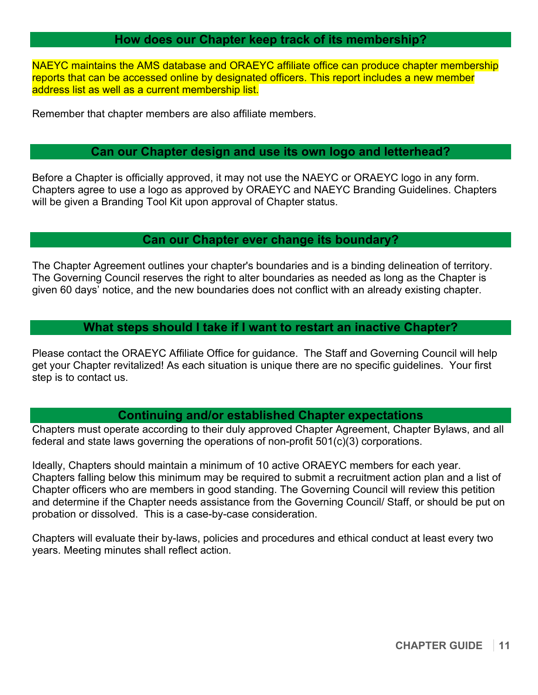# **How does our Chapter keep track of its membership?**

NAEYC maintains the AMS database and ORAEYC affiliate office can produce chapter membership reports that can be accessed online by designated officers. This report includes a new member address list as well as a current membership list.

Remember that chapter members are also affiliate members.

# **Can our Chapter design and use its own logo and letterhead?**

Before a Chapter is officially approved, it may not use the NAEYC or ORAEYC logo in any form. Chapters agree to use a logo as approved by ORAEYC and NAEYC Branding Guidelines. Chapters will be given a Branding Tool Kit upon approval of Chapter status.

## **Can our Chapter ever change its boundary?**

The Chapter Agreement outlines your chapter's boundaries and is a binding delineation of territory. The Governing Council reserves the right to alter boundaries as needed as long as the Chapter is given 60 days' notice, and the new boundaries does not conflict with an already existing chapter.

## **What steps should I take if I want to restart an inactive Chapter?**

Please contact the ORAEYC Affiliate Office for guidance. The Staff and Governing Council will help get your Chapter revitalized! As each situation is unique there are no specific guidelines. Your first step is to contact us.

# **Continuing and/or established Chapter expectations**

Chapters must operate according to their duly approved Chapter Agreement, Chapter Bylaws, and all federal and state laws governing the operations of non-profit 501(c)(3) corporations.

Ideally, Chapters should maintain a minimum of 10 active ORAEYC members for each year. Chapters falling below this minimum may be required to submit a recruitment action plan and a list of Chapter officers who are members in good standing. The Governing Council will review this petition and determine if the Chapter needs assistance from the Governing Council/ Staff, or should be put on probation or dissolved. This is a case-by-case consideration.

Chapters will evaluate their by-laws, policies and procedures and ethical conduct at least every two years. Meeting minutes shall reflect action.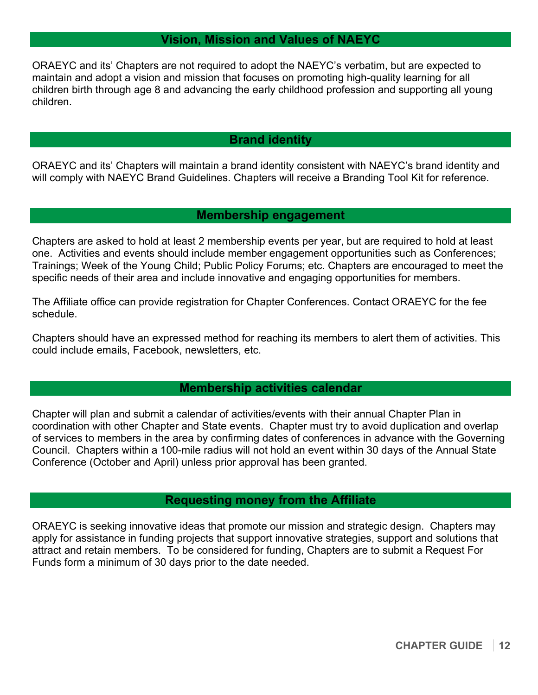# **Vision, Mission and Values of NAEYC**

ORAEYC and its' Chapters are not required to adopt the NAEYC's verbatim, but are expected to maintain and adopt a vision and mission that focuses on promoting high-quality learning for all children birth through age 8 and advancing the early childhood profession and supporting all young children.

# **Brand identity**

ORAEYC and its' Chapters will maintain a brand identity consistent with NAEYC's brand identity and will comply with NAEYC Brand Guidelines. Chapters will receive a Branding Tool Kit for reference.

## **Membership engagement**

Chapters are asked to hold at least 2 membership events per year, but are required to hold at least one. Activities and events should include member engagement opportunities such as Conferences; Trainings; Week of the Young Child; Public Policy Forums; etc. Chapters are encouraged to meet the specific needs of their area and include innovative and engaging opportunities for members.

The Affiliate office can provide registration for Chapter Conferences. Contact ORAEYC for the fee schedule.

Chapters should have an expressed method for reaching its members to alert them of activities. This could include emails, Facebook, newsletters, etc.

# **Membership activities calendar**

Chapter will plan and submit a calendar of activities/events with their annual Chapter Plan in coordination with other Chapter and State events. Chapter must try to avoid duplication and overlap of services to members in the area by confirming dates of conferences in advance with the Governing Council. Chapters within a 100-mile radius will not hold an event within 30 days of the Annual State Conference (October and April) unless prior approval has been granted.

# **Requesting money from the Affiliate**

ORAEYC is seeking innovative ideas that promote our mission and strategic design. Chapters may apply for assistance in funding projects that support innovative strategies, support and solutions that attract and retain members. To be considered for funding, Chapters are to submit a Request For Funds form a minimum of 30 days prior to the date needed.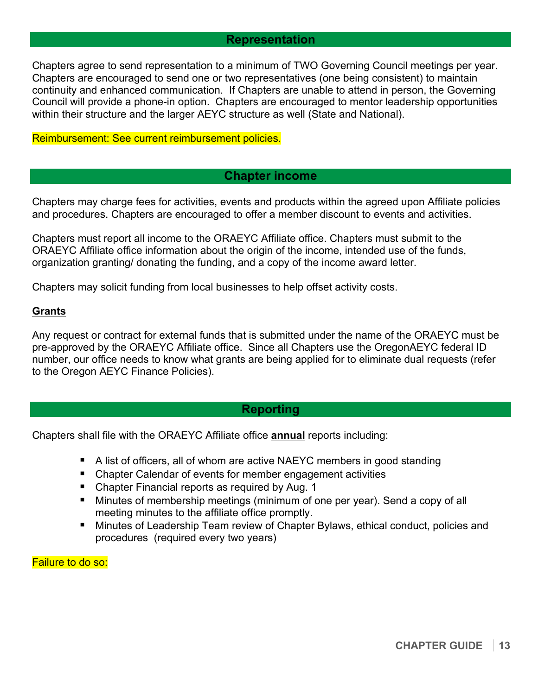## **Representation**

Chapters agree to send representation to a minimum of TWO Governing Council meetings per year. Chapters are encouraged to send one or two representatives (one being consistent) to maintain continuity and enhanced communication. If Chapters are unable to attend in person, the Governing Council will provide a phone-in option. Chapters are encouraged to mentor leadership opportunities within their structure and the larger AEYC structure as well (State and National).

#### Reimbursement: See current reimbursement policies.

#### **Chapter income**

Chapters may charge fees for activities, events and products within the agreed upon Affiliate policies and procedures. Chapters are encouraged to offer a member discount to events and activities.

Chapters must report all income to the ORAEYC Affiliate office. Chapters must submit to the ORAEYC Affiliate office information about the origin of the income, intended use of the funds, organization granting/ donating the funding, and a copy of the income award letter.

Chapters may solicit funding from local businesses to help offset activity costs.

#### **Grants**

Any request or contract for external funds that is submitted under the name of the ORAEYC must be pre-approved by the ORAEYC Affiliate office. Since all Chapters use the OregonAEYC federal ID number, our office needs to know what grants are being applied for to eliminate dual requests (refer to the Oregon AEYC Finance Policies).

## **Reporting**

Chapters shall file with the ORAEYC Affiliate office **annual** reports including:

- " A list of officers, all of whom are active NAEYC members in good standing
- Chapter Calendar of events for member engagement activities
- Chapter Financial reports as required by Aug. 1
- " Minutes of membership meetings (minimum of one per year). Send a copy of all meeting minutes to the affiliate office promptly.
- Minutes of Leadership Team review of Chapter Bylaws, ethical conduct, policies and procedures (required every two years)

Failure to do so: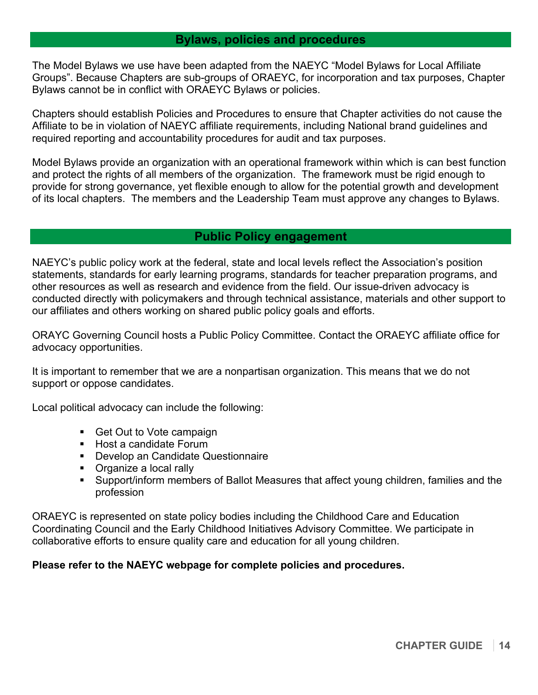## **Bylaws, policies and procedures**

The Model Bylaws we use have been adapted from the NAEYC "Model Bylaws for Local Affiliate Groups". Because Chapters are sub-groups of ORAEYC, for incorporation and tax purposes, Chapter Bylaws cannot be in conflict with ORAEYC Bylaws or policies.

Chapters should establish Policies and Procedures to ensure that Chapter activities do not cause the Affiliate to be in violation of NAEYC affiliate requirements, including National brand guidelines and required reporting and accountability procedures for audit and tax purposes.

Model Bylaws provide an organization with an operational framework within which is can best function and protect the rights of all members of the organization. The framework must be rigid enough to provide for strong governance, yet flexible enough to allow for the potential growth and development of its local chapters. The members and the Leadership Team must approve any changes to Bylaws.

## **Public Policy engagement**

NAEYC's public policy work at the federal, state and local levels reflect the Association's position statements, standards for early learning programs, standards for teacher preparation programs, and other resources as well as research and evidence from the field. Our issue-driven advocacy is conducted directly with policymakers and through technical assistance, materials and other support to our affiliates and others working on shared public policy goals and efforts.

ORAYC Governing Council hosts a Public Policy Committee. Contact the ORAEYC affiliate office for advocacy opportunities.

It is important to remember that we are a nonpartisan organization. This means that we do not support or oppose candidates.

Local political advocacy can include the following:

- Get Out to Vote campaign
- Host a candidate Forum
- " Develop an Candidate Questionnaire
- **•** Organize a local rally
- " Support/inform members of Ballot Measures that affect young children, families and the profession

ORAEYC is represented on state policy bodies including the Childhood Care and Education Coordinating Council and the Early Childhood Initiatives Advisory Committee. We participate in collaborative efforts to ensure quality care and education for all young children.

## **Please refer to the NAEYC webpage for complete policies and procedures.**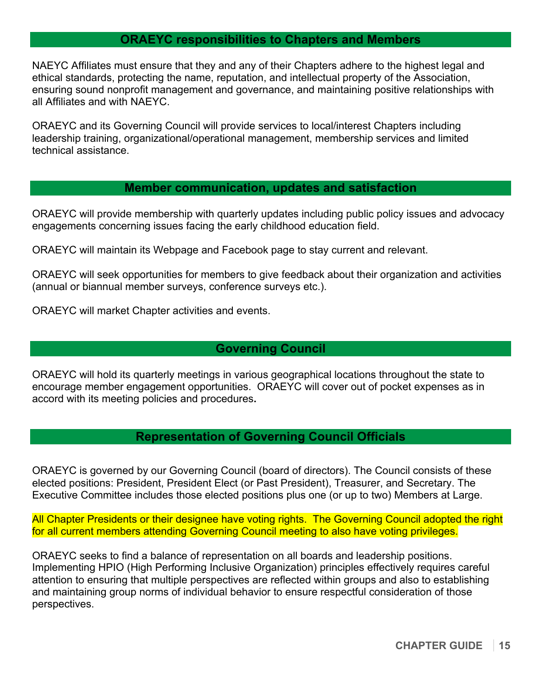# **ORAEYC responsibilities to Chapters and Members**

NAEYC Affiliates must ensure that they and any of their Chapters adhere to the highest legal and ethical standards, protecting the name, reputation, and intellectual property of the Association, ensuring sound nonprofit management and governance, and maintaining positive relationships with all Affiliates and with NAEYC.

ORAEYC and its Governing Council will provide services to local/interest Chapters including leadership training, organizational/operational management, membership services and limited technical assistance.

## **Member communication, updates and satisfaction**

ORAEYC will provide membership with quarterly updates including public policy issues and advocacy engagements concerning issues facing the early childhood education field.

ORAEYC will maintain its Webpage and Facebook page to stay current and relevant.

ORAEYC will seek opportunities for members to give feedback about their organization and activities (annual or biannual member surveys, conference surveys etc.).

ORAEYC will market Chapter activities and events.

## **Governing Council**

ORAEYC will hold its quarterly meetings in various geographical locations throughout the state to encourage member engagement opportunities. ORAEYC will cover out of pocket expenses as in accord with its meeting policies and procedures**.**

# **Representation of Governing Council Officials**

ORAEYC is governed by our Governing Council (board of directors). The Council consists of these elected positions: President, President Elect (or Past President), Treasurer, and Secretary. The Executive Committee includes those elected positions plus one (or up to two) Members at Large.

All Chapter Presidents or their designee have voting rights. The Governing Council adopted the right for all current members attending Governing Council meeting to also have voting privileges.

ORAEYC seeks to find a balance of representation on all boards and leadership positions. Implementing HPIO (High Performing Inclusive Organization) principles effectively requires careful attention to ensuring that multiple perspectives are reflected within groups and also to establishing and maintaining group norms of individual behavior to ensure respectful consideration of those perspectives.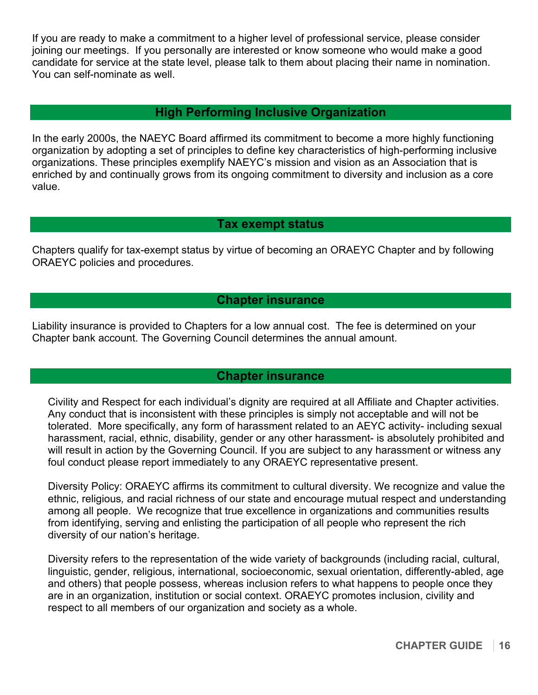If you are ready to make a commitment to a higher level of professional service, please consider joining our meetings. If you personally are interested or know someone who would make a good candidate for service at the state level, please talk to them about placing their name in nomination. You can self-nominate as well.

# **High Performing Inclusive Organization**

In the early 2000s, the NAEYC Board affirmed its commitment to become a more highly functioning organization by adopting a set of principles to define key characteristics of high-performing inclusive organizations. These principles exemplify NAEYC's mission and vision as an Association that is enriched by and continually grows from its ongoing commitment to diversity and inclusion as a core value.

# **Tax exempt status**

Chapters qualify for tax-exempt status by virtue of becoming an ORAEYC Chapter and by following ORAEYC policies and procedures.

# **Chapter insurance**

Liability insurance is provided to Chapters for a low annual cost. The fee is determined on your Chapter bank account. The Governing Council determines the annual amount.

# **Chapter insurance**

Civility and Respect for each individual's dignity are required at all Affiliate and Chapter activities. Any conduct that is inconsistent with these principles is simply not acceptable and will not be tolerated. More specifically, any form of harassment related to an AEYC activity- including sexual harassment, racial, ethnic, disability, gender or any other harassment- is absolutely prohibited and will result in action by the Governing Council. If you are subject to any harassment or witness any foul conduct please report immediately to any ORAEYC representative present.

Diversity Policy: ORAEYC affirms its commitment to cultural diversity. We recognize and value the ethnic, religious*,* and racial richness of our state and encourage mutual respect and understanding among all people. We recognize that true excellence in organizations and communities results from identifying, serving and enlisting the participation of all people who represent the rich diversity of our nation's heritage.

Diversity refers to the representation of the wide variety of backgrounds (including racial, cultural, linguistic, gender, religious, international, socioeconomic, sexual orientation, differently-abled, age and others) that people possess, whereas inclusion refers to what happens to people once they are in an organization, institution or social context. ORAEYC promotes inclusion, civility and respect to all members of our organization and society as a whole.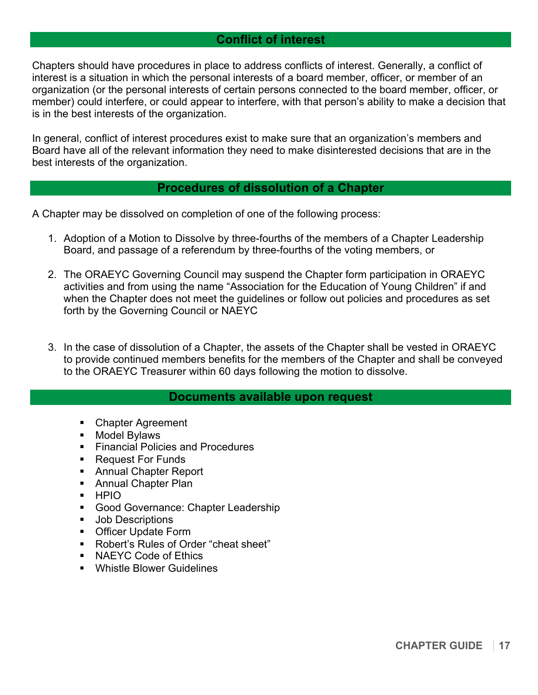# **Conflict of interest**

Chapters should have procedures in place to address conflicts of interest. Generally, a conflict of interest is a situation in which the personal interests of a board member, officer, or member of an organization (or the personal interests of certain persons connected to the board member, officer, or member) could interfere, or could appear to interfere, with that person's ability to make a decision that is in the best interests of the organization.

In general, conflict of interest procedures exist to make sure that an organization's members and Board have all of the relevant information they need to make disinterested decisions that are in the best interests of the organization.

## **Procedures of dissolution of a Chapter**

A Chapter may be dissolved on completion of one of the following process:

- 1. Adoption of a Motion to Dissolve by three-fourths of the members of a Chapter Leadership Board, and passage of a referendum by three-fourths of the voting members, or
- 2. The ORAEYC Governing Council may suspend the Chapter form participation in ORAEYC activities and from using the name "Association for the Education of Young Children" if and when the Chapter does not meet the guidelines or follow out policies and procedures as set forth by the Governing Council or NAEYC
- 3. In the case of dissolution of a Chapter, the assets of the Chapter shall be vested in ORAEYC to provide continued members benefits for the members of the Chapter and shall be conveyed to the ORAEYC Treasurer within 60 days following the motion to dissolve.

## **Documents available upon request**

- " Chapter Agreement
- **Nodel Bylaws**
- **Financial Policies and Procedures**
- Request For Funds
- " Annual Chapter Report
- **Annual Chapter Plan**
- " HPIO
- **Good Governance: Chapter Leadership**
- **Job Descriptions**
- " Officer Update Form
- " Robert's Rules of Order "cheat sheet"
- **NAEYC Code of Ethics**
- " Whistle Blower Guidelines